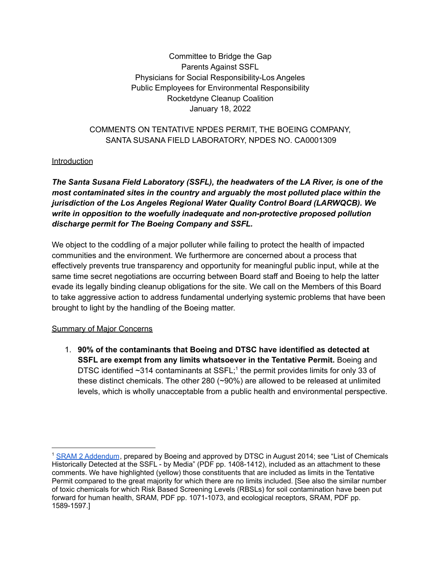Committee to Bridge the Gap Parents Against SSFL Physicians for Social Responsibility-Los Angeles Public Employees for Environmental Responsibility Rocketdyne Cleanup Coalition January 18, 2022

### COMMENTS ON TENTATIVE NPDES PERMIT, THE BOEING COMPANY, SANTA SUSANA FIELD LABORATORY, NPDES NO. CA0001309

#### Introduction

*The Santa Susana Field Laboratory (SSFL), the headwaters of the LA River, is one of the most contaminated sites in the country and arguably the most polluted place within the jurisdiction of the Los Angeles Regional Water Quality Control Board (LARWQCB). We write in opposition to the woefully inadequate and non-protective proposed pollution discharge permit for The Boeing Company and SSFL.*

We object to the coddling of a major polluter while failing to protect the health of impacted communities and the environment. We furthermore are concerned about a process that effectively prevents true transparency and opportunity for meaningful public input, while at the same time secret negotiations are occurring between Board staff and Boeing to help the latter evade its legally binding cleanup obligations for the site. We call on the Members of this Board to take aggressive action to address fundamental underlying systemic problems that have been brought to light by the handling of the Boeing matter.

#### Summary of Major Concerns

1. **90% of the contaminants that Boeing and DTSC have identified as detected at SSFL are exempt from any limits whatsoever in the Tentative Permit.** Boeing and DTSC identified ~314 contaminants at SSFL;<sup>1</sup> the permit provides limits for only 33 of these distinct chemicals. The other 280 (~90%) are allowed to be released at unlimited levels, which is wholly unacceptable from a public health and environmental perspective.

<sup>1</sup> SRAM 2 [Addendum](https://www.dtsc-ssfl.com/files/lib_ceqa/ref_draft_peir/Chap3_ProjDesc/MWH%202014%20Final%20SRAM%20Revision%202%20Addendum%20SSFL%20August.pdf), prepared by Boeing and approved by DTSC in August 2014; see "List of Chemicals Historically Detected at the SSFL - by Media" (PDF pp. 1408-1412), included as an attachment to these comments. We have highlighted (yellow) those constituents that are included as limits in the Tentative Permit compared to the great majority for which there are no limits included. [See also the similar number of toxic chemicals for which Risk Based Screening Levels (RBSLs) for soil contamination have been put forward for human health, SRAM, PDF pp. 1071-1073, and ecological receptors, SRAM, PDF pp. 1589-1597.]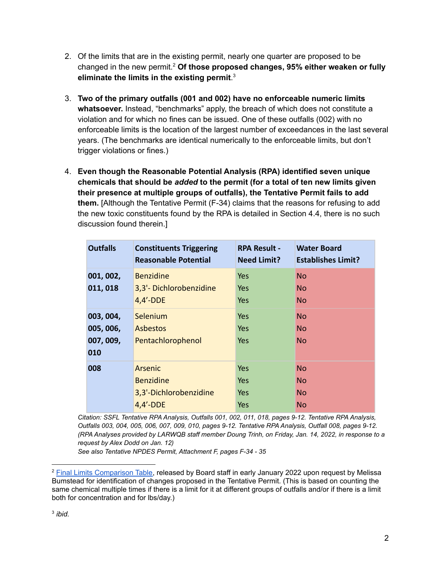- 2. Of the limits that are in the existing permit, nearly one quarter are proposed to be changed in the new permit. <sup>2</sup> **Of those proposed changes, 95% either weaken or fully eliminate the limits in the existing permit**. 3
- 3. **Two of the primary outfalls (001 and 002) have no enforceable numeric limits whatsoever.** Instead, "benchmarks" apply, the breach of which does not constitute a violation and for which no fines can be issued. One of these outfalls (002) with no enforceable limits is the location of the largest number of exceedances in the last several years. (The benchmarks are identical numerically to the enforceable limits, but don't trigger violations or fines.)
- 4. **Even though the Reasonable Potential Analysis (RPA) identified seven unique chemicals that should be** *added* **to the permit (for a total of ten new limits given their presence at multiple groups of outfalls), the Tentative Permit fails to add them.** [Although the Tentative Permit (F-34) claims that the reasons for refusing to add the new toxic constituents found by the RPA is detailed in Section 4.4, there is no such discussion found therein.]

| <b>Outfalls</b> | <b>Constituents Triggering</b><br><b>Reasonable Potential</b> | <b>RPA Result -</b><br><b>Need Limit?</b> | <b>Water Board</b><br><b>Establishes Limit?</b> |
|-----------------|---------------------------------------------------------------|-------------------------------------------|-------------------------------------------------|
| 001, 002,       | <b>Benzidine</b>                                              | <b>Yes</b>                                | <b>No</b>                                       |
| 011, 018        | 3,3'-Dichlorobenzidine<br>$4,4'$ -DDE                         | Yes<br>Yes                                | <b>No</b><br><b>No</b>                          |
| 003, 004,       | Selenium                                                      | <b>Yes</b>                                | <b>No</b>                                       |
| 005, 006,       | <b>Asbestos</b>                                               | Yes                                       | <b>No</b>                                       |
| 007, 009,       | Pentachlorophenol                                             | Yes                                       | <b>No</b>                                       |
| 010             |                                                               |                                           |                                                 |
| 008             | Arsenic                                                       | Yes.                                      | <b>No</b>                                       |
|                 | <b>Benzidine</b>                                              | Yes                                       | <b>No</b>                                       |
|                 | 3,3'-Dichlorobenzidine                                        | Yes                                       | <b>No</b>                                       |
|                 | $4,4'$ -DDE                                                   | Yes                                       | <b>No</b>                                       |

*Citation: SSFL Tentative RPA Analysis, Outfalls 001, 002, 011, 018, pages 9-12. Tentative RPA Analysis, Outfalls 003, 004, 005, 006, 007, 009, 010, pages 9-12. Tentative RPA Analysis, Outfall 008, pages 9-12. (RPA Analyses provided by LARWQB staff member Doung Trinh, on Friday, Jan. 14, 2022, in response to a request by Alex Dodd on Jan. 12)*

*See also Tentative NPDES Permit, Attachment F, pages F-34 - 35*

<sup>&</sup>lt;sup>2</sup> Final Limits [Comparison](https://www.waterboards.ca.gov/losangeles/board_decisions/tentative_orders/individual/npdes/Boeing_Santa_Susana_Field_Lab/2022/Final%20Limits%20Comparison%20Table_TentReqts.pdf) Table, released by Board staff in early January 2022 upon request by Melissa Bumstead for identification of changes proposed in the Tentative Permit. (This is based on counting the same chemical multiple times if there is a limit for it at different groups of outfalls and/or if there is a limit both for concentration and for lbs/day.)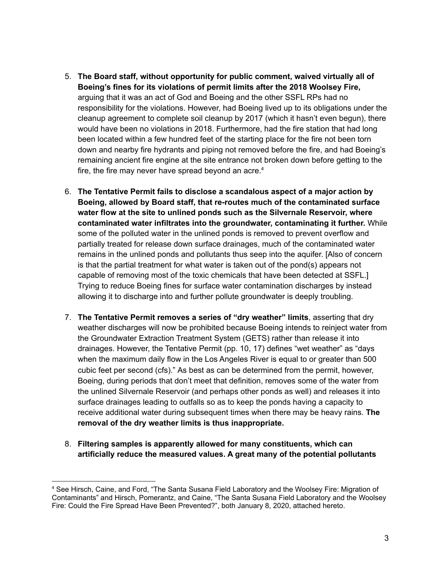- 5. **The Board staff, without opportunity for public comment, waived virtually all of Boeing's fines for its violations of permit limits after the 2018 Woolsey Fire,** arguing that it was an act of God and Boeing and the other SSFL RPs had no responsibility for the violations. However, had Boeing lived up to its obligations under the cleanup agreement to complete soil cleanup by 2017 (which it hasn't even begun), there would have been no violations in 2018. Furthermore, had the fire station that had long been located within a few hundred feet of the starting place for the fire not been torn down and nearby fire hydrants and piping not removed before the fire, and had Boeing's remaining ancient fire engine at the site entrance not broken down before getting to the fire, the fire may never have spread beyond an acre.<sup>4</sup>
- 6. **The Tentative Permit fails to disclose a scandalous aspect of a major action by Boeing, allowed by Board staff, that re-routes much of the contaminated surface water flow at the site to unlined ponds such as the Silvernale Reservoir, where contaminated water infiltrates into the groundwater, contaminating it further.** While some of the polluted water in the unlined ponds is removed to prevent overflow and partially treated for release down surface drainages, much of the contaminated water remains in the unlined ponds and pollutants thus seep into the aquifer. [Also of concern is that the partial treatment for what water is taken out of the pond(s) appears not capable of removing most of the toxic chemicals that have been detected at SSFL.] Trying to reduce Boeing fines for surface water contamination discharges by instead allowing it to discharge into and further pollute groundwater is deeply troubling.
- 7. **The Tentative Permit removes a series of "dry weather" limits**, asserting that dry weather discharges will now be prohibited because Boeing intends to reinject water from the Groundwater Extraction Treatment System (GETS) rather than release it into drainages. However, the Tentative Permit (pp. 10, 17) defines "wet weather" as "days when the maximum daily flow in the Los Angeles River is equal to or greater than 500 cubic feet per second (cfs)." As best as can be determined from the permit, however, Boeing, during periods that don't meet that definition, removes some of the water from the unlined Silvernale Reservoir (and perhaps other ponds as well) and releases it into surface drainages leading to outfalls so as to keep the ponds having a capacity to receive additional water during subsequent times when there may be heavy rains. **The removal of the dry weather limits is thus inappropriate.**
- 8. **Filtering samples is apparently allowed for many constituents, which can artificially reduce the measured values. A great many of the potential pollutants**

<sup>4</sup> See Hirsch, Caine, and Ford, "The Santa Susana Field Laboratory and the Woolsey Fire: Migration of Contaminants" and Hirsch, Pomerantz, and Caine, "The Santa Susana Field Laboratory and the Woolsey Fire: Could the Fire Spread Have Been Prevented?", both January 8, 2020, attached hereto.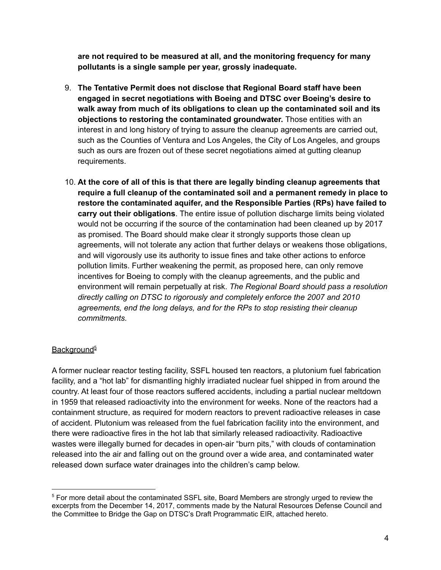**are not required to be measured at all, and the monitoring frequency for many pollutants is a single sample per year, grossly inadequate.**

- 9. **The Tentative Permit does not disclose that Regional Board staff have been engaged in secret negotiations with Boeing and DTSC over Boeing's desire to walk away from much of its obligations to clean up the contaminated soil and its objections to restoring the contaminated groundwater.** Those entities with an interest in and long history of trying to assure the cleanup agreements are carried out, such as the Counties of Ventura and Los Angeles, the City of Los Angeles, and groups such as ours are frozen out of these secret negotiations aimed at gutting cleanup requirements.
- 10. **At the core of all of this is that there are legally binding cleanup agreements that require a full cleanup of the contaminated soil and a permanent remedy in place to restore the contaminated aquifer, and the Responsible Parties (RPs) have failed to carry out their obligations**. The entire issue of pollution discharge limits being violated would not be occurring if the source of the contamination had been cleaned up by 2017 as promised. The Board should make clear it strongly supports those clean up agreements, will not tolerate any action that further delays or weakens those obligations, and will vigorously use its authority to issue fines and take other actions to enforce pollution limits. Further weakening the permit, as proposed here, can only remove incentives for Boeing to comply with the cleanup agreements, and the public and environment will remain perpetually at risk. *The Regional Board should pass a resolution directly calling on DTSC to rigorously and completely enforce the 2007 and 2010 agreements, end the long delays, and for the RPs to stop resisting their cleanup commitments.*

### Background<sup>5</sup>

A former nuclear reactor testing facility, SSFL housed ten reactors, a plutonium fuel fabrication facility, and a "hot lab" for dismantling highly irradiated nuclear fuel shipped in from around the country. At least four of those reactors suffered accidents, including a partial nuclear meltdown in 1959 that released radioactivity into the environment for weeks. None of the reactors had a containment structure, as required for modern reactors to prevent radioactive releases in case of accident. Plutonium was released from the fuel fabrication facility into the environment, and there were radioactive fires in the hot lab that similarly released radioactivity. Radioactive wastes were illegally burned for decades in open-air "burn pits," with clouds of contamination released into the air and falling out on the ground over a wide area, and contaminated water released down surface water drainages into the children's camp below.

<sup>5</sup> For more detail about the contaminated SSFL site, Board Members are strongly urged to review the excerpts from the December 14, 2017, comments made by the Natural Resources Defense Council and the Committee to Bridge the Gap on DTSC's Draft Programmatic EIR, attached hereto.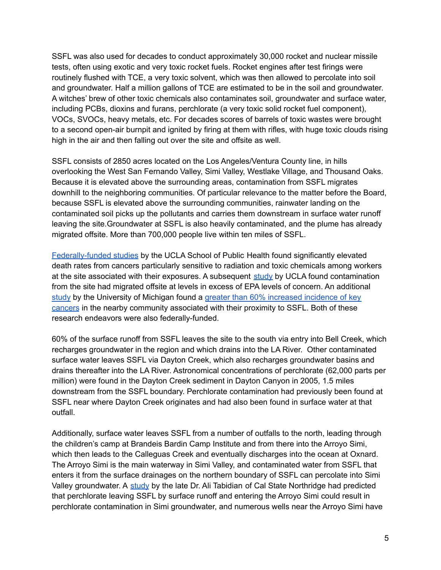SSFL was also used for decades to conduct approximately 30,000 rocket and nuclear missile tests, often using exotic and very toxic rocket fuels. Rocket engines after test firings were routinely flushed with TCE, a very toxic solvent, which was then allowed to percolate into soil and groundwater. Half a million gallons of TCE are estimated to be in the soil and groundwater. A witches' brew of other toxic chemicals also contaminates soil, groundwater and surface water, including PCBs, dioxins and furans, perchlorate (a very toxic solid rocket fuel component), VOCs, SVOCs, heavy metals, etc. For decades scores of barrels of toxic wastes were brought to a second open-air burnpit and ignited by firing at them with rifles, with huge toxic clouds rising high in the air and then falling out over the site and offsite as well.

SSFL consists of 2850 acres located on the Los Angeles/Ventura County line, in hills overlooking the West San Fernando Valley, Simi Valley, Westlake Village, and Thousand Oaks. Because it is elevated above the surrounding areas, contamination from SSFL migrates downhill to the neighboring communities. Of particular relevance to the matter before the Board, because SSFL is elevated above the surrounding communities, rainwater landing on the contaminated soil picks up the pollutants and carries them downstream in surface water runoff leaving the site.Groundwater at SSFL is also heavily contaminated, and the plume has already migrated offsite. More than 700,000 people live within ten miles of SSFL.

[Federally-funded](https://www.ssflpanel.org/previous-studies/) studies by the UCLA School of Public Health found significantly elevated death rates from cancers particularly sensitive to radiation and toxic chemicals among workers at the site associated with their exposures. A subsequent [study](https://www.ssflworkgroup.org/potential-for-offsite-exposures-associated-with-ssfl/) by UCLA found contamination from the site had migrated offsite at levels in excess of EPA levels of concern. An additional [study](https://www.ssflworkgroup.org/files/UofM-Rocketdyne-Epidemiologic-Study-Feb-2007-release.pdf) by the University of Michigan found a greater than 60% [increased](https://www.ssflworkgroup.org/files/LettertoSen.Simitian_041507.pdf) incidence of key [cancers](https://www.ssflworkgroup.org/files/LettertoSen.Simitian_041507.pdf) in the nearby community associated with their proximity to SSFL. Both of these research endeavors were also federally-funded.

60% of the surface runoff from SSFL leaves the site to the south via entry into Bell Creek, which recharges groundwater in the region and which drains into the LA River. Other contaminated surface water leaves SSFL via Dayton Creek, which also recharges groundwater basins and drains thereafter into the LA River. Astronomical concentrations of perchlorate (62,000 parts per million) were found in the Dayton Creek sediment in Dayton Canyon in 2005, 1.5 miles downstream from the SSFL boundary. Perchlorate contamination had previously been found at SSFL near where Dayton Creek originates and had also been found in surface water at that outfall.

Additionally, surface water leaves SSFL from a number of outfalls to the north, leading through the children's camp at Brandeis Bardin Camp Institute and from there into the Arroyo Simi, which then leads to the Calleguas Creek and eventually discharges into the ocean at Oxnard. The Arroyo Simi is the main waterway in Simi Valley, and contaminated water from SSFL that enters it from the surface drainages on the northern boundary of SSFL can percolate into Simi Valley groundwater. A [study](https://www.ssflpanel.org/files/Tabidian.pdf) by the late Dr. Ali Tabidian of Cal State Northridge had predicted that perchlorate leaving SSFL by surface runoff and entering the Arroyo Simi could result in perchlorate contamination in Simi groundwater, and numerous wells near the Arroyo Simi have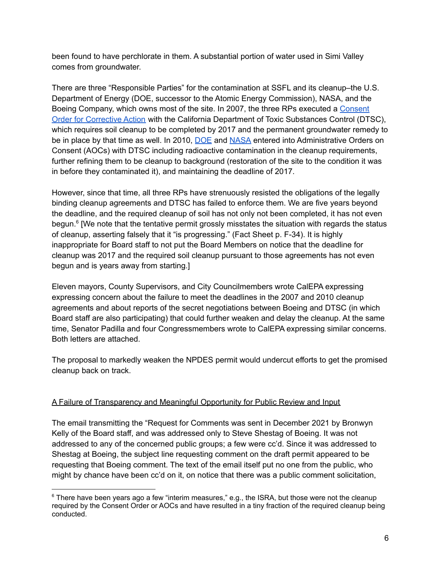been found to have perchlorate in them. A substantial portion of water used in Simi Valley comes from groundwater.

There are three "Responsible Parties" for the contamination at SSFL and its cleanup–the U.S. Department of Energy (DOE, successor to the Atomic Energy Commission), NASA, and the Boeing Company, which owns most of the site. In 2007, the three RPs executed a [Consent](https://www.dtsc-ssfl.com/files/lib_doe_area_iv/RMHF_Complex_Demo/DOE_Supporting_Documents/69378_2007_Consent_Order_for_Corrective_Action.pdf) Order for [Corrective](https://www.dtsc-ssfl.com/files/lib_doe_area_iv/RMHF_Complex_Demo/DOE_Supporting_Documents/69378_2007_Consent_Order_for_Corrective_Action.pdf) Action with the California Department of Toxic Substances Control (DTSC), which requires soil cleanup to be completed by 2017 and the permanent groundwater remedy to be in place by that time as well. In 2010, [DOE](https://www.dtsc-ssfl.com/files/lib_correspond/agreements/64791_SSFL_DOE_AOC_Final.pdf) and [NASA](https://www.dtsc-ssfl.com/files/lib_correspond/agreements/64789_SSFL_NASA_AOC_Final.pdf) entered into Administrative Orders on Consent (AOCs) with DTSC including radioactive contamination in the cleanup requirements, further refining them to be cleanup to background (restoration of the site to the condition it was in before they contaminated it), and maintaining the deadline of 2017.

However, since that time, all three RPs have strenuously resisted the obligations of the legally binding cleanup agreements and DTSC has failed to enforce them. We are five years beyond the deadline, and the required cleanup of soil has not only not been completed, it has not even begun.<sup>6</sup> [We note that the tentative permit grossly misstates the situation with regards the status of cleanup, asserting falsely that it "is progressing." (Fact Sheet p. F-34). It is highly inappropriate for Board staff to not put the Board Members on notice that the deadline for cleanup was 2017 and the required soil cleanup pursuant to those agreements has not even begun and is years away from starting.]

Eleven mayors, County Supervisors, and City Councilmembers wrote CalEPA expressing expressing concern about the failure to meet the deadlines in the 2007 and 2010 cleanup agreements and about reports of the secret negotiations between Boeing and DTSC (in which Board staff are also participating) that could further weaken and delay the cleanup. At the same time, Senator Padilla and four Congressmembers wrote to CalEPA expressing similar concerns. Both letters are attached.

The proposal to markedly weaken the NPDES permit would undercut efforts to get the promised cleanup back on track.

### A Failure of Transparency and Meaningful Opportunity for Public Review and Input

The email transmitting the "Request for Comments was sent in December 2021 by Bronwyn Kelly of the Board staff, and was addressed only to Steve Shestag of Boeing. It was not addressed to any of the concerned public groups; a few were cc'd. Since it was addressed to Shestag at Boeing, the subject line requesting comment on the draft permit appeared to be requesting that Boeing comment. The text of the email itself put no one from the public, who might by chance have been cc'd on it, on notice that there was a public comment solicitation,

<sup>&</sup>lt;sup>6</sup> There have been years ago a few "interim measures," e.g., the ISRA, but those were not the cleanup required by the Consent Order or AOCs and have resulted in a tiny fraction of the required cleanup being conducted.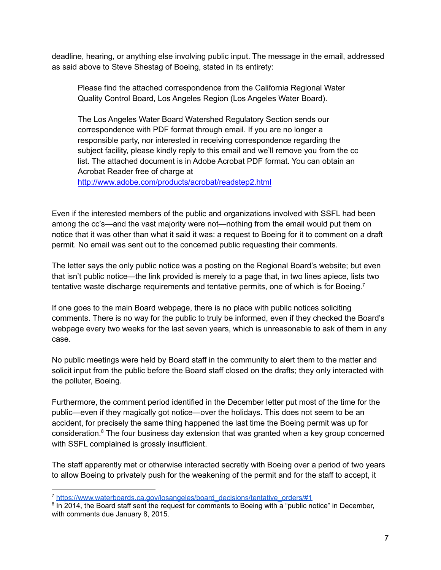deadline, hearing, or anything else involving public input. The message in the email, addressed as said above to Steve Shestag of Boeing, stated in its entirety:

Please find the attached correspondence from the California Regional Water Quality Control Board, Los Angeles Region (Los Angeles Water Board).

The Los Angeles Water Board Watershed Regulatory Section sends our correspondence with PDF format through email. If you are no longer a responsible party, nor interested in receiving correspondence regarding the subject facility, please kindly reply to this email and we'll remove you from the cc list. The attached document is in Adobe Acrobat PDF format. You can obtain an Acrobat Reader free of charge at

http://www.adobe.com/products/acrobat/readstep2.html

Even if the interested members of the public and organizations involved with SSFL had been among the cc's—and the vast majority were not—nothing from the email would put them on notice that it was other than what it said it was: a request to Boeing for it to comment on a draft permit. No email was sent out to the concerned public requesting their comments.

The letter says the only public notice was a posting on the Regional Board's website; but even that isn't public notice—the link provided is merely to a page that, in two lines apiece, lists two tentative waste discharge requirements and tentative permits, one of which is for Boeing.<sup>7</sup>

If one goes to the main Board webpage, there is no place with public notices soliciting comments. There is no way for the public to truly be informed, even if they checked the Board's webpage every two weeks for the last seven years, which is unreasonable to ask of them in any case.

No public meetings were held by Board staff in the community to alert them to the matter and solicit input from the public before the Board staff closed on the drafts; they only interacted with the polluter, Boeing.

Furthermore, the comment period identified in the December letter put most of the time for the public—even if they magically got notice—over the holidays. This does not seem to be an accident, for precisely the same thing happened the last time the Boeing permit was up for consideration. <sup>8</sup> The four business day extension that was granted when a key group concerned with SSFL complained is grossly insufficient.

The staff apparently met or otherwise interacted secretly with Boeing over a period of two years to allow Boeing to privately push for the weakening of the permit and for the staff to accept, it

<sup>7</sup> [https://www.waterboards.ca.gov/losangeles/board\\_decisions/tentative\\_orders/#1](https://www.waterboards.ca.gov/losangeles/board_decisions/tentative_orders/#1)

<sup>&</sup>lt;sup>8</sup> In 2014, the Board staff sent the request for comments to Boeing with a "public notice" in December, with comments due January 8, 2015.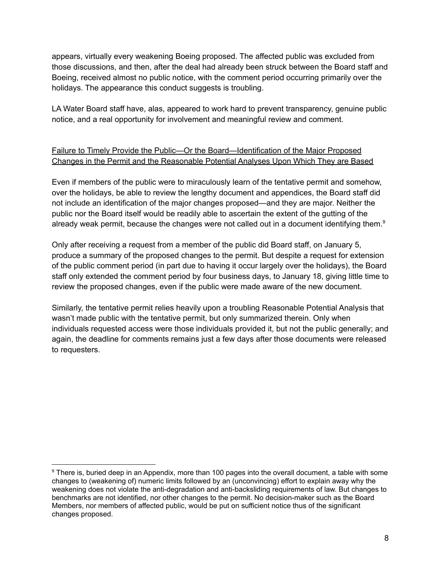appears, virtually every weakening Boeing proposed. The affected public was excluded from those discussions, and then, after the deal had already been struck between the Board staff and Boeing, received almost no public notice, with the comment period occurring primarily over the holidays. The appearance this conduct suggests is troubling.

LA Water Board staff have, alas, appeared to work hard to prevent transparency, genuine public notice, and a real opportunity for involvement and meaningful review and comment.

# Failure to Timely Provide the Public—Or the Board—Identification of the Major Proposed Changes in the Permit and the Reasonable Potential Analyses Upon Which They are Based

Even if members of the public were to miraculously learn of the tentative permit and somehow, over the holidays, be able to review the lengthy document and appendices, the Board staff did not include an identification of the major changes proposed—and they are major. Neither the public nor the Board itself would be readily able to ascertain the extent of the gutting of the already weak permit, because the changes were not called out in a document identifying them.<sup>9</sup>

Only after receiving a request from a member of the public did Board staff, on January 5, produce a summary of the proposed changes to the permit. But despite a request for extension of the public comment period (in part due to having it occur largely over the holidays), the Board staff only extended the comment period by four business days, to January 18, giving little time to review the proposed changes, even if the public were made aware of the new document.

Similarly, the tentative permit relies heavily upon a troubling Reasonable Potential Analysis that wasn't made public with the tentative permit, but only summarized therein. Only when individuals requested access were those individuals provided it, but not the public generally; and again, the deadline for comments remains just a few days after those documents were released to requesters.

<sup>9</sup> There is, buried deep in an Appendix, more than 100 pages into the overall document, a table with some changes to (weakening of) numeric limits followed by an (unconvincing) effort to explain away why the weakening does not violate the anti-degradation and anti-backsliding requirements of law. But changes to benchmarks are not identified, nor other changes to the permit. No decision-maker such as the Board Members, nor members of affected public, would be put on sufficient notice thus of the significant changes proposed.